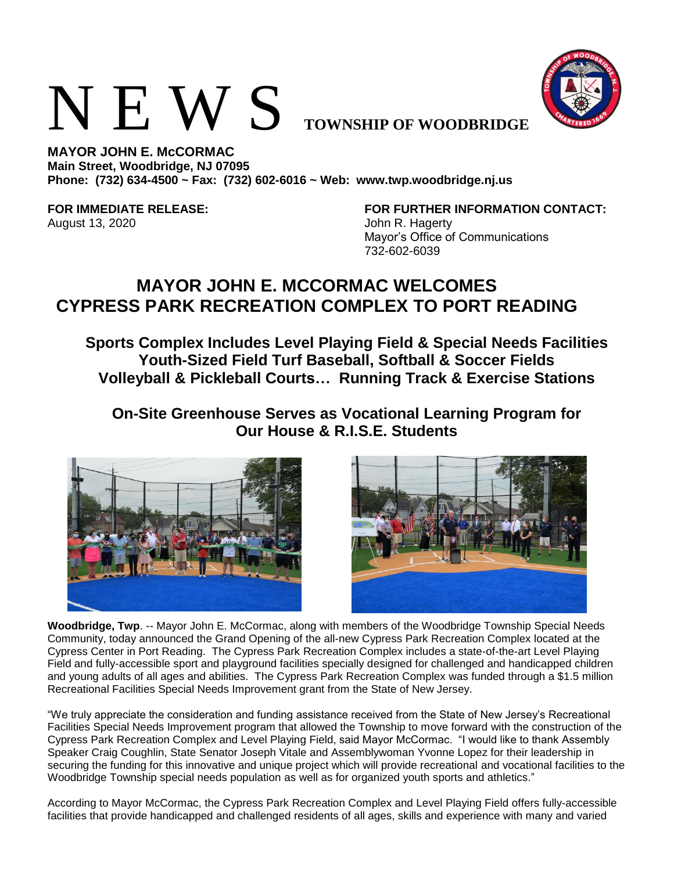## N E W S **TOWNSHIP OF WOODBRIDGE**



**MAYOR JOHN E. McCORMAC Main Street, Woodbridge, NJ 07095 Phone: (732) 634-4500 ~ Fax: (732) 602-6016 ~ Web: www.twp.woodbridge.nj.us**

August 13, 2020 **John R. Hagerty** 

## **FOR IMMEDIATE RELEASE: FOR FURTHER INFORMATION CONTACT:**

Mayor's Office of Communications 732-602-6039

## **MAYOR JOHN E. MCCORMAC WELCOMES CYPRESS PARK RECREATION COMPLEX TO PORT READING**

**Sports Complex Includes Level Playing Field & Special Needs Facilities Youth-Sized Field Turf Baseball, Softball & Soccer Fields Volleyball & Pickleball Courts… Running Track & Exercise Stations**

**On-Site Greenhouse Serves as Vocational Learning Program for Our House & R.I.S.E. Students**





**Woodbridge, Twp**. -- Mayor John E. McCormac, along with members of the Woodbridge Township Special Needs Community, today announced the Grand Opening of the all-new Cypress Park Recreation Complex located at the Cypress Center in Port Reading. The Cypress Park Recreation Complex includes a state-of-the-art Level Playing Field and fully-accessible sport and playground facilities specially designed for challenged and handicapped children and young adults of all ages and abilities. The Cypress Park Recreation Complex was funded through a \$1.5 million Recreational Facilities Special Needs Improvement grant from the State of New Jersey.

"We truly appreciate the consideration and funding assistance received from the State of New Jersey's Recreational Facilities Special Needs Improvement program that allowed the Township to move forward with the construction of the Cypress Park Recreation Complex and Level Playing Field, said Mayor McCormac. "I would like to thank Assembly Speaker Craig Coughlin, State Senator Joseph Vitale and Assemblywoman Yvonne Lopez for their leadership in securing the funding for this innovative and unique project which will provide recreational and vocational facilities to the Woodbridge Township special needs population as well as for organized youth sports and athletics."

According to Mayor McCormac, the Cypress Park Recreation Complex and Level Playing Field offers fully-accessible facilities that provide handicapped and challenged residents of all ages, skills and experience with many and varied